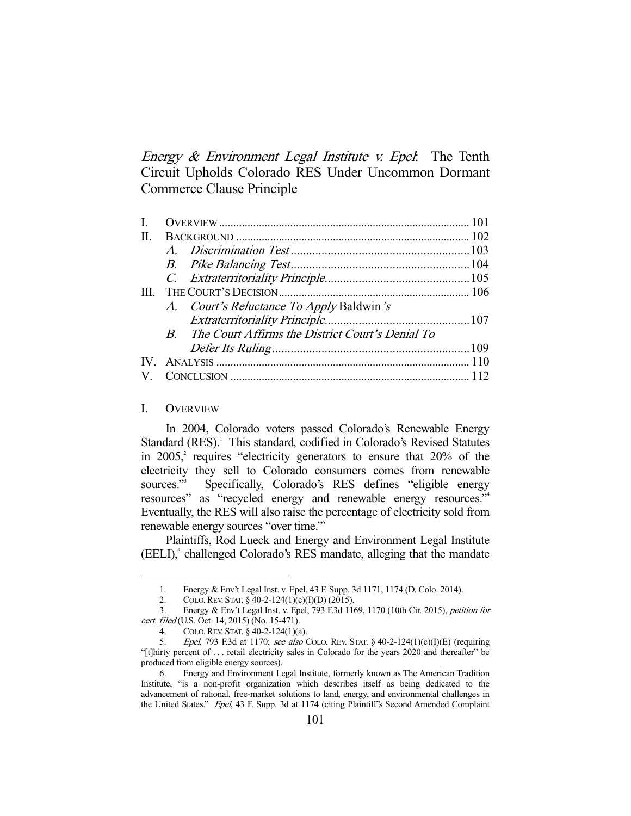Energy  $\&$  Environment Legal Institute v. Epel: The Tenth Circuit Upholds Colorado RES Under Uncommon Dormant Commerce Clause Principle

| $\Pi$ . |  |                                                     |  |
|---------|--|-----------------------------------------------------|--|
|         |  |                                                     |  |
|         |  |                                                     |  |
|         |  |                                                     |  |
| Ш       |  |                                                     |  |
|         |  | A. Court's Reluctance To Apply Baldwin's            |  |
|         |  |                                                     |  |
|         |  | B. The Court Affirms the District Court's Denial To |  |
|         |  |                                                     |  |
|         |  |                                                     |  |
|         |  |                                                     |  |
|         |  |                                                     |  |

### I. OVERVIEW

-

 In 2004, Colorado voters passed Colorado's Renewable Energy Standard (RES).<sup>1</sup> This standard, codified in Colorado's Revised Statutes in  $2005$ , requires "electricity generators to ensure that  $20\%$  of the electricity they sell to Colorado consumers comes from renewable sources."<sup>3</sup> Specifically, Colorado's RES defines "eligible energy resources" as "recycled energy and renewable energy resources."4 Eventually, the RES will also raise the percentage of electricity sold from renewable energy sources "over time."5

 Plaintiffs, Rod Lueck and Energy and Environment Legal Institute (EELI),<sup>6</sup> challenged Colorado's RES mandate, alleging that the mandate

 <sup>1.</sup> Energy & Env't Legal Inst. v. Epel, 43 F. Supp. 3d 1171, 1174 (D. Colo. 2014).

 <sup>2.</sup> COLO.REV. STAT. § 40-2-124(1)(c)(I)(D) (2015).

 <sup>3.</sup> Energy & Env't Legal Inst. v. Epel, 793 F.3d 1169, 1170 (10th Cir. 2015), petition for cert. filed (U.S. Oct. 14, 2015) (No. 15-471).

 <sup>4.</sup> COLO.REV. STAT. § 40-2-124(1)(a).

<sup>5.</sup> *Epel*, 793 F.3d at 1170; see also COLO. REV. STAT. § 40-2-124(1)(c)(I)(E) (requiring "[t]hirty percent of . . . retail electricity sales in Colorado for the years 2020 and thereafter" be produced from eligible energy sources).

 <sup>6.</sup> Energy and Environment Legal Institute, formerly known as The American Tradition Institute, "is a non-profit organization which describes itself as being dedicated to the advancement of rational, free-market solutions to land, energy, and environmental challenges in the United States." Epel, 43 F. Supp. 3d at 1174 (citing Plaintiff's Second Amended Complaint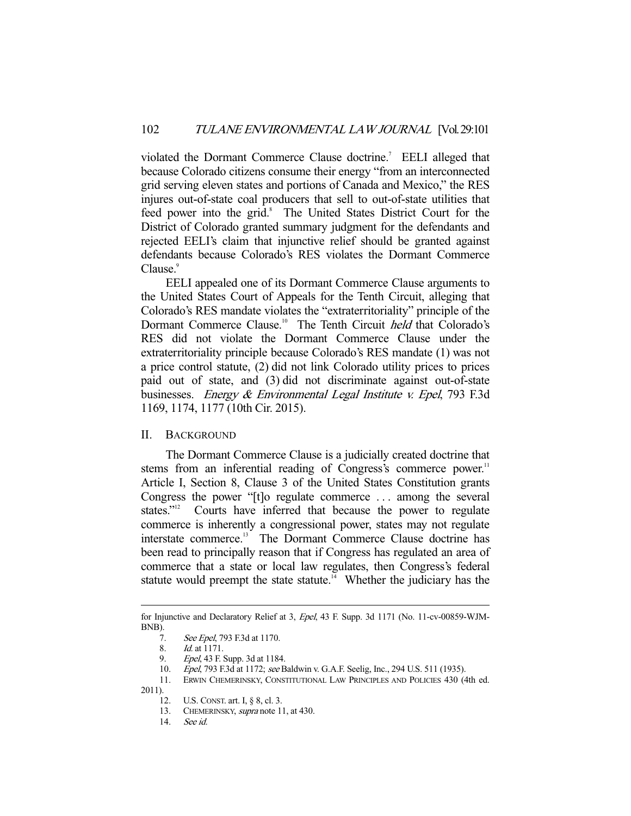violated the Dormant Commerce Clause doctrine.<sup>7</sup> EELI alleged that because Colorado citizens consume their energy "from an interconnected grid serving eleven states and portions of Canada and Mexico," the RES injures out-of-state coal producers that sell to out-of-state utilities that feed power into the grid.<sup>8</sup> The United States District Court for the District of Colorado granted summary judgment for the defendants and rejected EELI's claim that injunctive relief should be granted against defendants because Colorado's RES violates the Dormant Commerce Clause.<sup>9</sup>

 EELI appealed one of its Dormant Commerce Clause arguments to the United States Court of Appeals for the Tenth Circuit, alleging that Colorado's RES mandate violates the "extraterritoriality" principle of the Dormant Commerce Clause.<sup>10</sup> The Tenth Circuit *held* that Colorado's RES did not violate the Dormant Commerce Clause under the extraterritoriality principle because Colorado's RES mandate (1) was not a price control statute, (2) did not link Colorado utility prices to prices paid out of state, and (3) did not discriminate against out-of-state businesses. *Energy & Environmental Legal Institute v. Epel*, 793 F.3d 1169, 1174, 1177 (10th Cir. 2015).

#### II. BACKGROUND

 The Dormant Commerce Clause is a judicially created doctrine that stems from an inferential reading of Congress's commerce power.<sup>11</sup> Article I, Section 8, Clause 3 of the United States Constitution grants Congress the power "[t]o regulate commerce . . . among the several states."<sup>12</sup> Courts have inferred that because the power to regulate commerce is inherently a congressional power, states may not regulate interstate commerce.<sup>13</sup> The Dormant Commerce Clause doctrine has been read to principally reason that if Congress has regulated an area of commerce that a state or local law regulates, then Congress's federal statute would preempt the state statute.<sup>14</sup> Whether the judiciary has the

for Injunctive and Declaratory Relief at 3, Epel, 43 F. Supp. 3d 1171 (No. 11-cv-00859-WJM-BNB).

 <sup>7.</sup> See Epel, 793 F.3d at 1170.

 <sup>8.</sup> Id. at 1171.

<sup>9.</sup> *Epel*, 43 F. Supp. 3d at 1184.

<sup>10.</sup> *Epel*, 793 F.3d at 1172; see Baldwin v. G.A.F. Seelig, Inc., 294 U.S. 511 (1935).

 <sup>11.</sup> ERWIN CHEMERINSKY, CONSTITUTIONAL LAW PRINCIPLES AND POLICIES 430 (4th ed. 2011).

 <sup>12.</sup> U.S. CONST. art. I, § 8, cl. 3.

<sup>13.</sup> CHEMERINSKY, supra note 11, at 430.

 <sup>14.</sup> See id.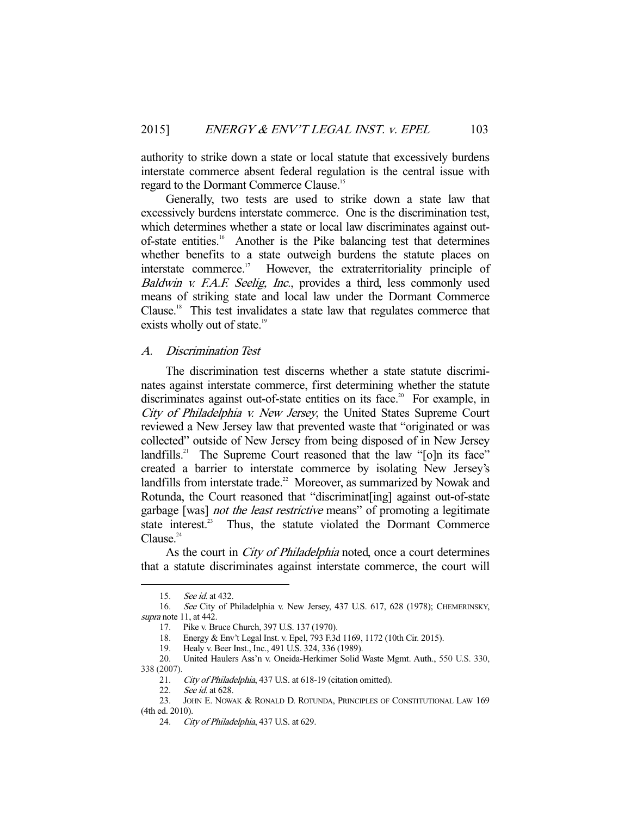authority to strike down a state or local statute that excessively burdens interstate commerce absent federal regulation is the central issue with regard to the Dormant Commerce Clause.<sup>15</sup>

 Generally, two tests are used to strike down a state law that excessively burdens interstate commerce. One is the discrimination test, which determines whether a state or local law discriminates against outof-state entities.16 Another is the Pike balancing test that determines whether benefits to a state outweigh burdens the statute places on interstate commerce.<sup>17</sup> However, the extraterritoriality principle of Baldwin v. F.A.F. Seelig, Inc., provides a third, less commonly used means of striking state and local law under the Dormant Commerce Clause.18 This test invalidates a state law that regulates commerce that exists wholly out of state.<sup>19</sup>

# A. Discrimination Test

 The discrimination test discerns whether a state statute discriminates against interstate commerce, first determining whether the statute discriminates against out-of-state entities on its face.<sup>20</sup> For example, in City of Philadelphia v. New Jersey, the United States Supreme Court reviewed a New Jersey law that prevented waste that "originated or was collected" outside of New Jersey from being disposed of in New Jersey landfills.<sup>21</sup> The Supreme Court reasoned that the law "[o]n its face" created a barrier to interstate commerce by isolating New Jersey's landfills from interstate trade.<sup>22</sup> Moreover, as summarized by Nowak and Rotunda, the Court reasoned that "discriminat<sup>[ing]</sup> against out-of-state garbage [was] not the least restrictive means" of promoting a legitimate state interest.<sup>23</sup> Thus, the statute violated the Dormant Commerce  $C$ lause. $24$ 

As the court in *City of Philadelphia* noted, once a court determines that a statute discriminates against interstate commerce, the court will

 <sup>15.</sup> See id. at 432.

 <sup>16.</sup> See City of Philadelphia v. New Jersey, 437 U.S. 617, 628 (1978); CHEMERINSKY, supra note 11, at 442.

 <sup>17.</sup> Pike v. Bruce Church, 397 U.S. 137 (1970).

 <sup>18.</sup> Energy & Env't Legal Inst. v. Epel, 793 F.3d 1169, 1172 (10th Cir. 2015).

 <sup>19.</sup> Healy v. Beer Inst., Inc., 491 U.S. 324, 336 (1989).

 <sup>20.</sup> United Haulers Ass'n v. Oneida-Herkimer Solid Waste Mgmt. Auth., 550 U.S. 330, 338 (2007).

<sup>21.</sup> City of Philadelphia, 437 U.S. at 618-19 (citation omitted).

<sup>22.</sup> *See id.* at 628.

 <sup>23.</sup> JOHN E. NOWAK & RONALD D. ROTUNDA, PRINCIPLES OF CONSTITUTIONAL LAW 169 (4th ed. 2010).

 <sup>24.</sup> City of Philadelphia, 437 U.S. at 629.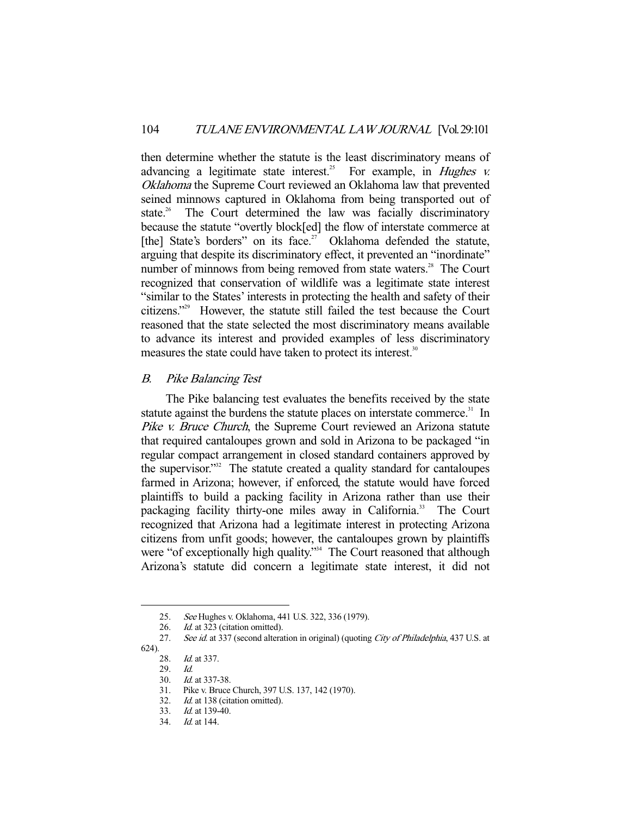then determine whether the statute is the least discriminatory means of advancing a legitimate state interest.<sup>25</sup> For example, in *Hughes v.* Oklahoma the Supreme Court reviewed an Oklahoma law that prevented seined minnows captured in Oklahoma from being transported out of state.<sup>26</sup> The Court determined the law was facially discriminatory because the statute "overtly block[ed] the flow of interstate commerce at [the] State's borders" on its face.<sup>27</sup> Oklahoma defended the statute, arguing that despite its discriminatory effect, it prevented an "inordinate" number of minnows from being removed from state waters.<sup>28</sup> The Court recognized that conservation of wildlife was a legitimate state interest "similar to the States' interests in protecting the health and safety of their citizens."29 However, the statute still failed the test because the Court reasoned that the state selected the most discriminatory means available to advance its interest and provided examples of less discriminatory measures the state could have taken to protect its interest.<sup>30</sup>

### B. Pike Balancing Test

 The Pike balancing test evaluates the benefits received by the state statute against the burdens the statute places on interstate commerce.<sup>31</sup> In Pike v. Bruce Church, the Supreme Court reviewed an Arizona statute that required cantaloupes grown and sold in Arizona to be packaged "in regular compact arrangement in closed standard containers approved by the supervisor."32 The statute created a quality standard for cantaloupes farmed in Arizona; however, if enforced, the statute would have forced plaintiffs to build a packing facility in Arizona rather than use their packaging facility thirty-one miles away in California.<sup>33</sup> The Court recognized that Arizona had a legitimate interest in protecting Arizona citizens from unfit goods; however, the cantaloupes grown by plaintiffs were "of exceptionally high quality."<sup>34</sup> The Court reasoned that although Arizona's statute did concern a legitimate state interest, it did not

 <sup>25.</sup> See Hughes v. Oklahoma, 441 U.S. 322, 336 (1979).

<sup>26.</sup> *Id.* at 323 (citation omitted).

<sup>27.</sup> See id. at 337 (second alteration in original) (quoting City of Philadelphia, 437 U.S. at

<sup>624).</sup> 

<sup>28.</sup> *Id.* at 337.

 <sup>29.</sup> Id.

 <sup>30.</sup> Id. at 337-38.

 <sup>31.</sup> Pike v. Bruce Church, 397 U.S. 137, 142 (1970).

<sup>32.</sup> Id. at 138 (citation omitted).

 <sup>33.</sup> Id. at 139-40.

 <sup>34.</sup> Id. at 144.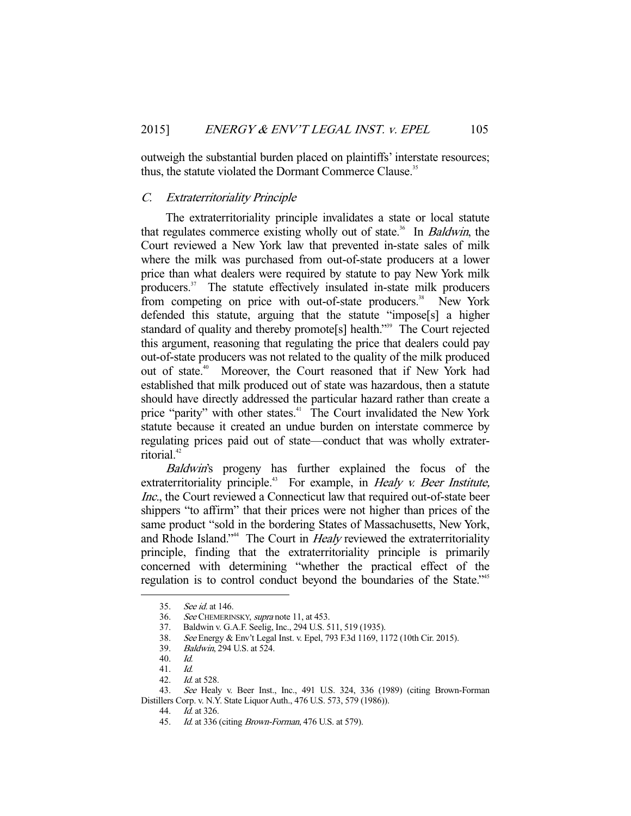outweigh the substantial burden placed on plaintiffs' interstate resources; thus, the statute violated the Dormant Commerce Clause.<sup>35</sup>

## C. Extraterritoriality Principle

 The extraterritoriality principle invalidates a state or local statute that regulates commerce existing wholly out of state.<sup>36</sup> In *Baldwin*, the Court reviewed a New York law that prevented in-state sales of milk where the milk was purchased from out-of-state producers at a lower price than what dealers were required by statute to pay New York milk producers.<sup>37</sup> The statute effectively insulated in-state milk producers from competing on price with out-of-state producers.<sup>38</sup> New York defended this statute, arguing that the statute "impose[s] a higher standard of quality and thereby promote[s] health."<sup>339</sup> The Court rejected this argument, reasoning that regulating the price that dealers could pay out-of-state producers was not related to the quality of the milk produced out of state.<sup>40</sup> Moreover, the Court reasoned that if New York had established that milk produced out of state was hazardous, then a statute should have directly addressed the particular hazard rather than create a price "parity" with other states.<sup>41</sup> The Court invalidated the New York statute because it created an undue burden on interstate commerce by regulating prices paid out of state—conduct that was wholly extraterritorial.<sup>42</sup>

Baldwin's progeny has further explained the focus of the extraterritoriality principle.<sup>43</sup> For example, in *Healy v. Beer Institute*, Inc., the Court reviewed a Connecticut law that required out-of-state beer shippers "to affirm" that their prices were not higher than prices of the same product "sold in the bordering States of Massachusetts, New York, and Rhode Island."<sup>44</sup> The Court in *Healy* reviewed the extraterritoriality principle, finding that the extraterritoriality principle is primarily concerned with determining "whether the practical effect of the regulation is to control conduct beyond the boundaries of the State."45

-

45. *Id.* at 336 (citing *Brown-Forman*, 476 U.S. at 579).

 <sup>35.</sup> See id. at 146.

<sup>36.</sup> See CHEMERINSKY, supra note 11, at 453.

 <sup>37.</sup> Baldwin v. G.A.F. Seelig, Inc., 294 U.S. 511, 519 (1935).

 <sup>38.</sup> See Energy & Env't Legal Inst. v. Epel, 793 F.3d 1169, 1172 (10th Cir. 2015).

 <sup>39.</sup> Baldwin, 294 U.S. at 524.

 <sup>40.</sup> Id.

 <sup>41.</sup> Id.

 <sup>42.</sup> Id. at 528.

 <sup>43.</sup> See Healy v. Beer Inst., Inc., 491 U.S. 324, 336 (1989) (citing Brown-Forman Distillers Corp. v. N.Y. State Liquor Auth., 476 U.S. 573, 579 (1986)).

 <sup>44.</sup> Id. at 326.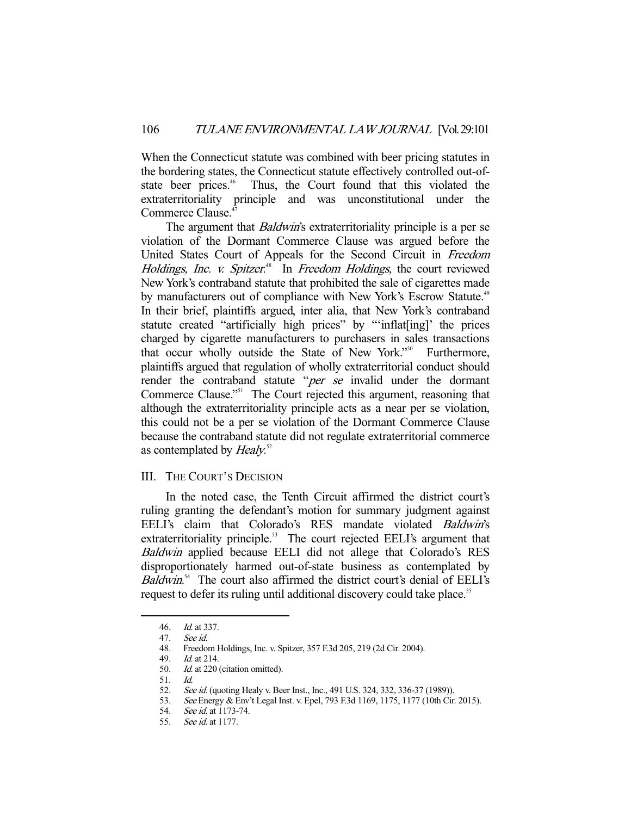When the Connecticut statute was combined with beer pricing statutes in the bordering states, the Connecticut statute effectively controlled out-ofstate beer prices.<sup>46</sup> Thus, the Court found that this violated the extraterritoriality principle and was unconstitutional under the Commerce Clause.<sup>47</sup>

The argument that *Baldwin's* extraterritoriality principle is a per se violation of the Dormant Commerce Clause was argued before the United States Court of Appeals for the Second Circuit in Freedom Holdings, Inc. v. Spitzer.<sup>48</sup> In Freedom Holdings, the court reviewed New York's contraband statute that prohibited the sale of cigarettes made by manufacturers out of compliance with New York's Escrow Statute.<sup>49</sup> In their brief, plaintiffs argued, inter alia, that New York's contraband statute created "artificially high prices" by "'inflat[ing]' the prices charged by cigarette manufacturers to purchasers in sales transactions that occur wholly outside the State of New York."<sup>50</sup> Furthermore, plaintiffs argued that regulation of wholly extraterritorial conduct should render the contraband statute "per se invalid under the dormant Commerce Clause."<sup>51</sup> The Court rejected this argument, reasoning that although the extraterritoriality principle acts as a near per se violation, this could not be a per se violation of the Dormant Commerce Clause because the contraband statute did not regulate extraterritorial commerce as contemplated by *Healy*.<sup>52</sup>

## III. THE COURT'S DECISION

 In the noted case, the Tenth Circuit affirmed the district court's ruling granting the defendant's motion for summary judgment against EELI's claim that Colorado's RES mandate violated Baldwin's extraterritoriality principle.<sup>53</sup> The court rejected EELI's argument that Baldwin applied because EELI did not allege that Colorado's RES disproportionately harmed out-of-state business as contemplated by Baldwin.<sup>54</sup> The court also affirmed the district court's denial of EELI's request to defer its ruling until additional discovery could take place.<sup>55</sup>

 <sup>46.</sup> Id. at 337.

 <sup>47.</sup> See id.

 <sup>48.</sup> Freedom Holdings, Inc. v. Spitzer, 357 F.3d 205, 219 (2d Cir. 2004).

 <sup>49.</sup> Id. at 214.

 <sup>50.</sup> Id. at 220 (citation omitted).

<sup>51.</sup> *Id.*<br>52. *See* See id. (quoting Healy v. Beer Inst., Inc., 491 U.S. 324, 332, 336-37 (1989)).

 <sup>53.</sup> See Energy & Env't Legal Inst. v. Epel, 793 F.3d 1169, 1175, 1177 (10th Cir. 2015).

 <sup>54.</sup> See id. at 1173-74.

 <sup>55.</sup> See id. at 1177.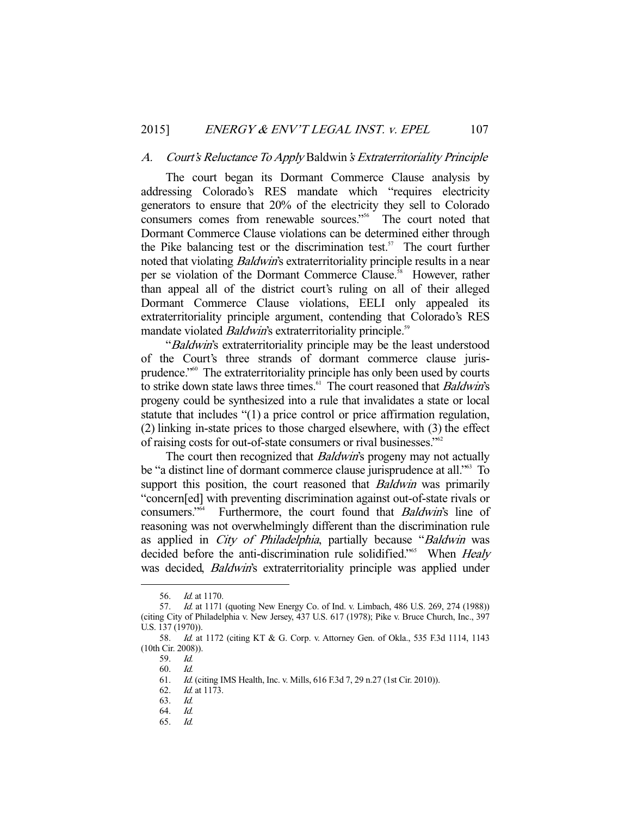#### A. Court's Reluctance To Apply Baldwin's Extraterritoriality Principle

 The court began its Dormant Commerce Clause analysis by addressing Colorado's RES mandate which "requires electricity generators to ensure that 20% of the electricity they sell to Colorado consumers comes from renewable sources."<sup>56</sup> The court noted that Dormant Commerce Clause violations can be determined either through the Pike balancing test or the discrimination test.<sup>57</sup> The court further noted that violating *Baldwin's* extraterritoriality principle results in a near per se violation of the Dormant Commerce Clause.<sup>58</sup> However, rather than appeal all of the district court's ruling on all of their alleged Dormant Commerce Clause violations, EELI only appealed its extraterritoriality principle argument, contending that Colorado's RES mandate violated *Baldwin's* extraterritoriality principle.<sup>59</sup>

"Baldwin's extraterritoriality principle may be the least understood of the Court's three strands of dormant commerce clause jurisprudence."60 The extraterritoriality principle has only been used by courts to strike down state laws three times. $64$  The court reasoned that *Baldwin's* progeny could be synthesized into a rule that invalidates a state or local statute that includes "(1) a price control or price affirmation regulation, (2) linking in-state prices to those charged elsewhere, with (3) the effect of raising costs for out-of-state consumers or rival businesses."62

The court then recognized that *Baldwin's* progeny may not actually be "a distinct line of dormant commerce clause jurisprudence at all."<sup>63</sup> To support this position, the court reasoned that *Baldwin* was primarily "concern[ed] with preventing discrimination against out-of-state rivals or consumers."64 Furthermore, the court found that Baldwin's line of reasoning was not overwhelmingly different than the discrimination rule as applied in *City of Philadelphia*, partially because "*Baldwin* was decided before the anti-discrimination rule solidified."<sup>65</sup> When *Healy* was decided, *Baldwin's* extraterritoriality principle was applied under

-

65. Id.

 <sup>56.</sup> Id. at 1170.

 <sup>57.</sup> Id. at 1171 (quoting New Energy Co. of Ind. v. Limbach, 486 U.S. 269, 274 (1988)) (citing City of Philadelphia v. New Jersey, 437 U.S. 617 (1978); Pike v. Bruce Church, Inc., 397 U.S. 137 (1970)).

<sup>58.</sup> *Id.* at 1172 (citing KT & G. Corp. v. Attorney Gen. of Okla., 535 F.3d 1114, 1143 (10th Cir. 2008)).

 <sup>59.</sup> Id.

 <sup>60.</sup> Id.

 <sup>61.</sup> Id. (citing IMS Health, Inc. v. Mills, 616 F.3d 7, 29 n.27 (1st Cir. 2010)).

 <sup>62.</sup> Id. at 1173.

 <sup>63.</sup> Id.

 <sup>64.</sup> Id.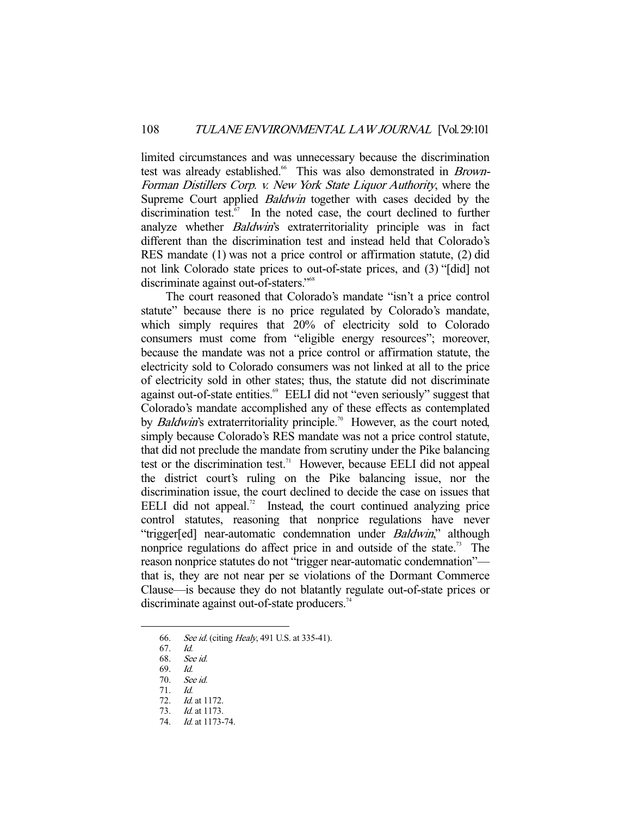limited circumstances and was unnecessary because the discrimination test was already established.<sup>66</sup> This was also demonstrated in Brown-Forman Distillers Corp. v. New York State Liquor Authority, where the Supreme Court applied Baldwin together with cases decided by the discrimination test. $67$  In the noted case, the court declined to further analyze whether Baldwin's extraterritoriality principle was in fact different than the discrimination test and instead held that Colorado's RES mandate (1) was not a price control or affirmation statute, (2) did not link Colorado state prices to out-of-state prices, and (3) "[did] not discriminate against out-of-staters."<sup>68</sup>

 The court reasoned that Colorado's mandate "isn't a price control statute" because there is no price regulated by Colorado's mandate, which simply requires that 20% of electricity sold to Colorado consumers must come from "eligible energy resources"; moreover, because the mandate was not a price control or affirmation statute, the electricity sold to Colorado consumers was not linked at all to the price of electricity sold in other states; thus, the statute did not discriminate against out-of-state entities.<sup>69</sup> EELI did not "even seriously" suggest that Colorado's mandate accomplished any of these effects as contemplated by *Baldwin's* extraterritoriality principle.<sup>70</sup> However, as the court noted, simply because Colorado's RES mandate was not a price control statute, that did not preclude the mandate from scrutiny under the Pike balancing test or the discrimination test.<sup>71</sup> However, because EELI did not appeal the district court's ruling on the Pike balancing issue, nor the discrimination issue, the court declined to decide the case on issues that EELI did not appeal. $\alpha$ <sup>2</sup> Instead, the court continued analyzing price control statutes, reasoning that nonprice regulations have never "trigger[ed] near-automatic condemnation under *Baldwin*," although nonprice regulations do affect price in and outside of the state.<sup>73</sup> The reason nonprice statutes do not "trigger near-automatic condemnation" that is, they are not near per se violations of the Dormant Commerce Clause—is because they do not blatantly regulate out-of-state prices or discriminate against out-of-state producers.<sup>74</sup>

 <sup>66.</sup> See id. (citing Healy, 491 U.S. at 335-41).

<sup>67.</sup> *Id.*<br>68. *Sec* 

See id.

 <sup>69.</sup> Id.

 <sup>70.</sup> See id.

 <sup>71.</sup> Id.

 <sup>72.</sup> Id. at 1172.

 <sup>73.</sup> Id. at 1173.

 <sup>74.</sup> Id. at 1173-74.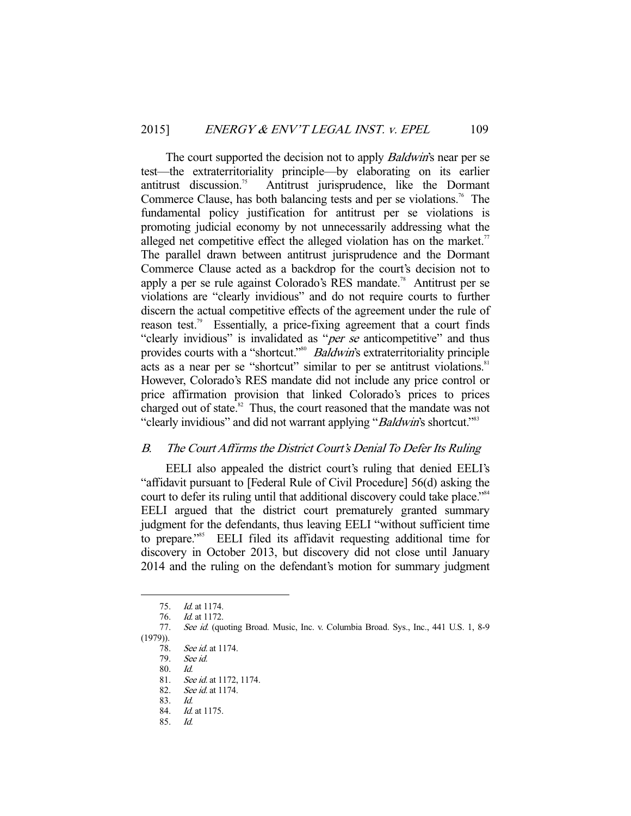The court supported the decision not to apply *Baldwin's* near per se test—the extraterritoriality principle—by elaborating on its earlier antitrust discussion.75 Antitrust jurisprudence, like the Dormant Commerce Clause, has both balancing tests and per se violations.<sup>76</sup> The fundamental policy justification for antitrust per se violations is promoting judicial economy by not unnecessarily addressing what the alleged net competitive effect the alleged violation has on the market.<sup>77</sup> The parallel drawn between antitrust jurisprudence and the Dormant Commerce Clause acted as a backdrop for the court's decision not to apply a per se rule against Colorado's RES mandate.<sup>78</sup> Antitrust per se violations are "clearly invidious" and do not require courts to further discern the actual competitive effects of the agreement under the rule of reason test.<sup>79</sup> Essentially, a price-fixing agreement that a court finds "clearly invidious" is invalidated as "*per se* anticompetitive" and thus provides courts with a "shortcut."<sup>80</sup> Baldwin's extraterritoriality principle acts as a near per se "shortcut" similar to per se antitrust violations.<sup>81</sup> However, Colorado's RES mandate did not include any price control or price affirmation provision that linked Colorado's prices to prices charged out of state. $82$  Thus, the court reasoned that the mandate was not "clearly invidious" and did not warrant applying "*Baldwin*'s shortcut."<sup>83</sup>

## B. The Court Affirms the District Court's Denial To Defer Its Ruling

 EELI also appealed the district court's ruling that denied EELI's "affidavit pursuant to [Federal Rule of Civil Procedure] 56(d) asking the court to defer its ruling until that additional discovery could take place."<sup>84</sup> EELI argued that the district court prematurely granted summary judgment for the defendants, thus leaving EELI "without sufficient time to prepare."85 EELI filed its affidavit requesting additional time for discovery in October 2013, but discovery did not close until January 2014 and the ruling on the defendant's motion for summary judgment

-

82. See id. at 1174.

 <sup>75.</sup> Id. at 1174.

 <sup>76.</sup> Id. at 1172.

<sup>77.</sup> See id. (quoting Broad. Music, Inc. v. Columbia Broad. Sys., Inc., 441 U.S. 1, 8-9  $(1979)$ ).<br>78.

<sup>78.</sup> *See id.* at 1174.<br>79. *See id.* 

See id.

 <sup>80.</sup> Id.

<sup>81.</sup> See id. at 1172, 1174.

 <sup>83.</sup> Id.

 <sup>84.</sup> Id. at 1175. 85. Id.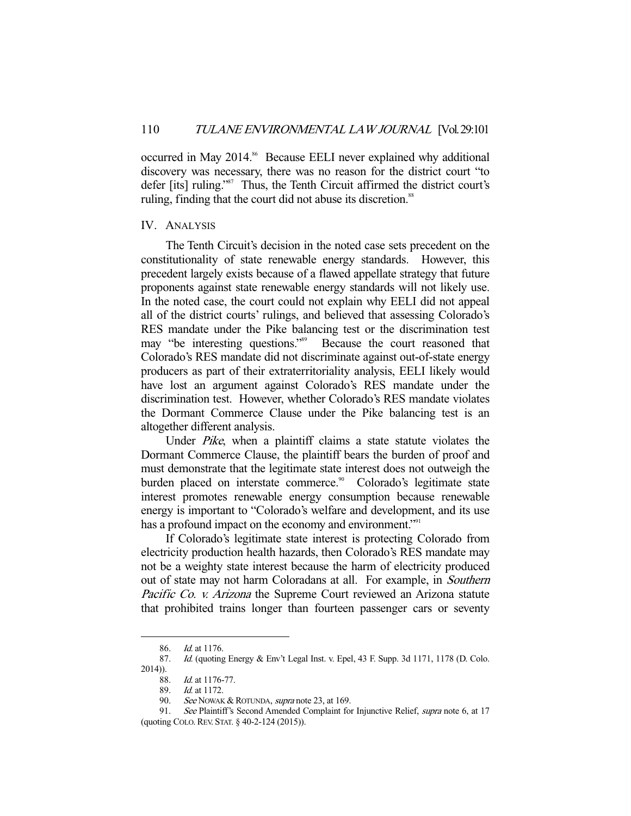occurred in May 2014.<sup>86</sup> Because EELI never explained why additional discovery was necessary, there was no reason for the district court "to defer [its] ruling."<sup>87</sup> Thus, the Tenth Circuit affirmed the district court's ruling, finding that the court did not abuse its discretion.<sup>88</sup>

#### IV. ANALYSIS

 The Tenth Circuit's decision in the noted case sets precedent on the constitutionality of state renewable energy standards. However, this precedent largely exists because of a flawed appellate strategy that future proponents against state renewable energy standards will not likely use. In the noted case, the court could not explain why EELI did not appeal all of the district courts' rulings, and believed that assessing Colorado's RES mandate under the Pike balancing test or the discrimination test may "be interesting questions."<sup>89</sup> Because the court reasoned that Colorado's RES mandate did not discriminate against out-of-state energy producers as part of their extraterritoriality analysis, EELI likely would have lost an argument against Colorado's RES mandate under the discrimination test. However, whether Colorado's RES mandate violates the Dormant Commerce Clause under the Pike balancing test is an altogether different analysis.

Under *Pike*, when a plaintiff claims a state statute violates the Dormant Commerce Clause, the plaintiff bears the burden of proof and must demonstrate that the legitimate state interest does not outweigh the burden placed on interstate commerce.<sup>90</sup> Colorado's legitimate state interest promotes renewable energy consumption because renewable energy is important to "Colorado's welfare and development, and its use has a profound impact on the economy and environment."<sup>91</sup>

 If Colorado's legitimate state interest is protecting Colorado from electricity production health hazards, then Colorado's RES mandate may not be a weighty state interest because the harm of electricity produced out of state may not harm Coloradans at all. For example, in Southern Pacific Co. v. Arizona the Supreme Court reviewed an Arizona statute that prohibited trains longer than fourteen passenger cars or seventy

 <sup>86.</sup> Id. at 1176.

<sup>87.</sup> Id. (quoting Energy & Env't Legal Inst. v. Epel, 43 F. Supp. 3d 1171, 1178 (D. Colo. 2014)).

 <sup>88.</sup> Id. at 1176-77.

 <sup>89.</sup> Id. at 1172.

<sup>90.</sup> See NOWAK & ROTUNDA, supra note 23, at 169.

<sup>91.</sup> See Plaintiff's Second Amended Complaint for Injunctive Relief, *supra* note 6, at 17 (quoting COLO.REV. STAT. § 40-2-124 (2015)).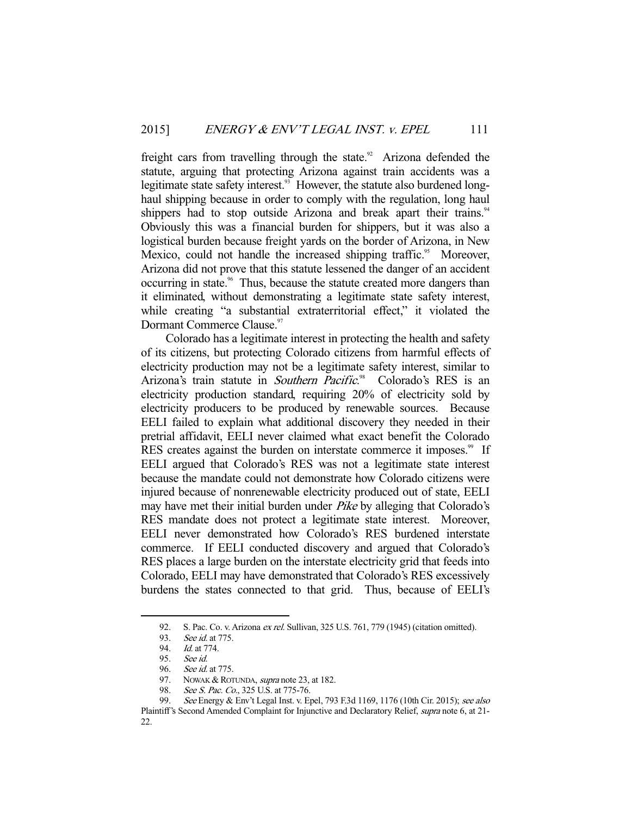freight cars from travelling through the state.<sup>92</sup> Arizona defended the statute, arguing that protecting Arizona against train accidents was a legitimate state safety interest.<sup>93</sup> However, the statute also burdened longhaul shipping because in order to comply with the regulation, long haul shippers had to stop outside Arizona and break apart their trains.<sup>94</sup> Obviously this was a financial burden for shippers, but it was also a logistical burden because freight yards on the border of Arizona, in New Mexico, could not handle the increased shipping traffic.<sup>95</sup> Moreover, Arizona did not prove that this statute lessened the danger of an accident occurring in state.<sup>96</sup> Thus, because the statute created more dangers than it eliminated, without demonstrating a legitimate state safety interest, while creating "a substantial extraterritorial effect," it violated the Dormant Commerce Clause.<sup>97</sup>

 Colorado has a legitimate interest in protecting the health and safety of its citizens, but protecting Colorado citizens from harmful effects of electricity production may not be a legitimate safety interest, similar to Arizona's train statute in Southern Pacific.<sup>98</sup> Colorado's RES is an electricity production standard, requiring 20% of electricity sold by electricity producers to be produced by renewable sources. Because EELI failed to explain what additional discovery they needed in their pretrial affidavit, EELI never claimed what exact benefit the Colorado RES creates against the burden on interstate commerce it imposes.<sup>99</sup> If EELI argued that Colorado's RES was not a legitimate state interest because the mandate could not demonstrate how Colorado citizens were injured because of nonrenewable electricity produced out of state, EELI may have met their initial burden under *Pike* by alleging that Colorado's RES mandate does not protect a legitimate state interest. Moreover, EELI never demonstrated how Colorado's RES burdened interstate commerce. If EELI conducted discovery and argued that Colorado's RES places a large burden on the interstate electricity grid that feeds into Colorado, EELI may have demonstrated that Colorado's RES excessively burdens the states connected to that grid. Thus, because of EELI's

<sup>92.</sup> S. Pac. Co. v. Arizona ex rel. Sullivan, 325 U.S. 761, 779 (1945) (citation omitted).

 <sup>93.</sup> See id. at 775.

 <sup>94.</sup> Id. at 774.

 <sup>95.</sup> See id.

<sup>96.</sup> *See id.* at 775.<br>97. NOWAK & ROT<br>98. See S. Pac. Co NOWAK & ROTUNDA, supra note 23, at 182.

<sup>98.</sup> See S. Pac. Co., 325 U.S. at 775-76.

<sup>99.</sup> See Energy & Env't Legal Inst. v. Epel, 793 F.3d 1169, 1176 (10th Cir. 2015); see also Plaintiff's Second Amended Complaint for Injunctive and Declaratory Relief, supra note 6, at 21- 22.